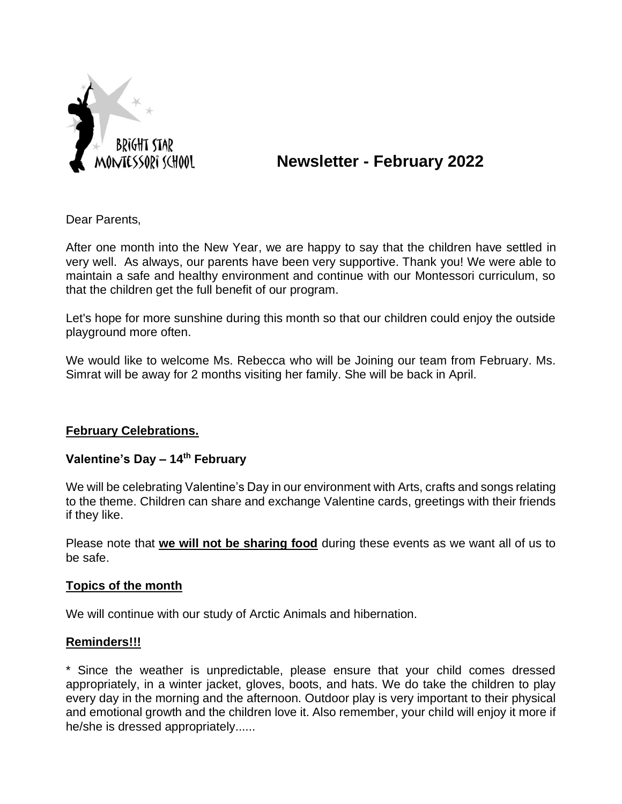

# **Newsletter - February 2022**

Dear Parents,

After one month into the New Year, we are happy to say that the children have settled in very well. As always, our parents have been very supportive. Thank you! We were able to maintain a safe and healthy environment and continue with our Montessori curriculum, so that the children get the full benefit of our program.

Let's hope for more sunshine during this month so that our children could enjoy the outside playground more often.

We would like to welcome Ms. Rebecca who will be Joining our team from February. Ms. Simrat will be away for 2 months visiting her family. She will be back in April.

## **February Celebrations.**

## **Valentine's Day – 14th February**

We will be celebrating Valentine's Day in our environment with Arts, crafts and songs relating to the theme. Children can share and exchange Valentine cards, greetings with their friends if they like.

Please note that **we will not be sharing food** during these events as we want all of us to be safe.

#### **Topics of the month**

We will continue with our study of Arctic Animals and hibernation.

#### **Reminders!!!**

\* Since the weather is unpredictable, please ensure that your child comes dressed appropriately, in a winter jacket, gloves, boots, and hats. We do take the children to play every day in the morning and the afternoon. Outdoor play is very important to their physical and emotional growth and the children love it. Also remember, your child will enjoy it more if he/she is dressed appropriately......